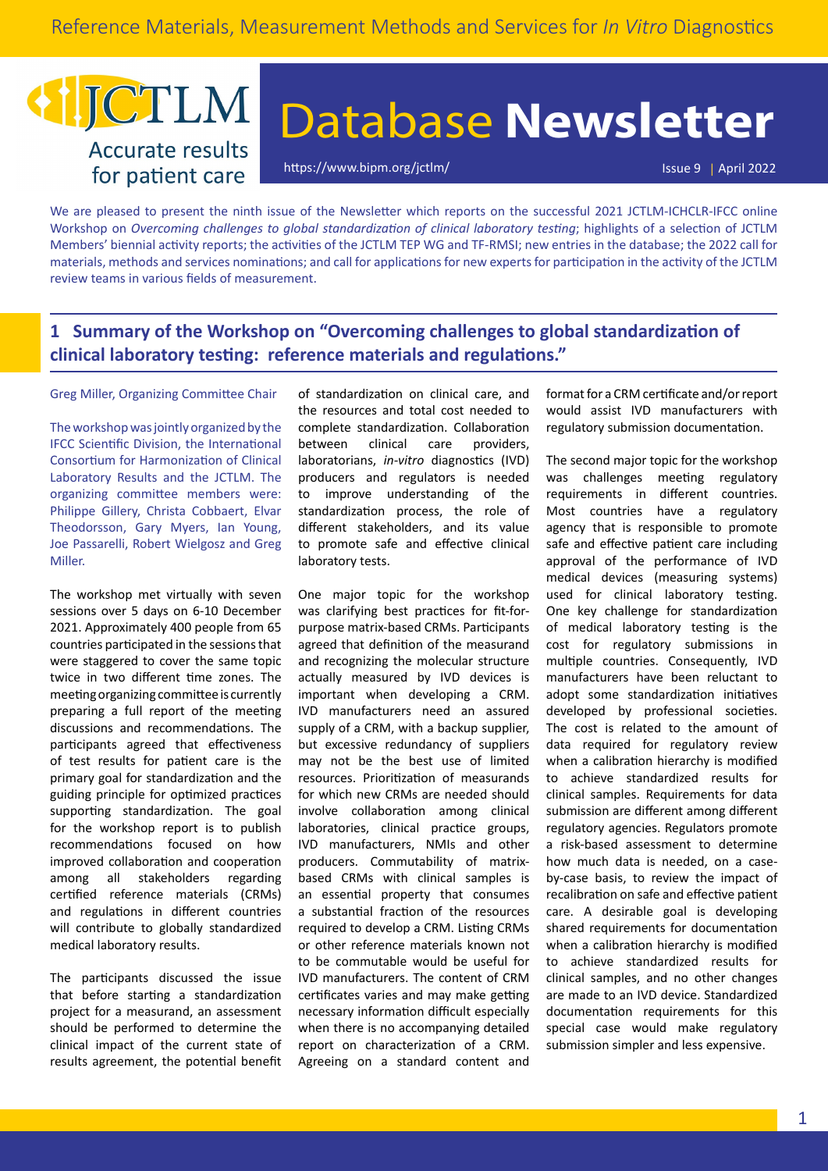## JCTLM **Accurate results** for patient care

# Database **Newsletter**

<https://www.bipm.org/jctlm/> Issue 9 | April 2022

We are pleased to present the ninth issue of the Newsletter which reports on the successful 2021 JCTLM-ICHCLR-IFCC online Workshop on *Overcoming challenges to global standardization of clinical laboratory testing*; highlights of a selection of JCTLM Members' biennial activity reports; the activities of the JCTLM TEP WG and TF-RMSI; new entries in the database; the 2022 call for materials, methods and services nominations; and call for applications for new experts for participation in the activity of the JCTLM review teams in various fields of measurement.

## **1 Summary of the Workshop on "Overcoming challenges to global standardization of clinical laboratory testing: reference materials and regulations."**

Greg Miller, Organizing Committee Chair

The workshop was jointly organized by the IFCC Scientific Division, the International Consortium for Harmonization of Clinical Laboratory Results and the JCTLM. The organizing committee members were: Philippe Gillery, Christa Cobbaert, Elvar Theodorsson, Gary Myers, Ian Young, Joe Passarelli, Robert Wielgosz and Greg Miller.

The workshop met virtually with seven sessions over 5 days on 6-10 December 2021. Approximately 400 people from 65 countries participated in the sessions that were staggered to cover the same topic twice in two different time zones. The meeting organizing committee is currently preparing a full report of the meeting discussions and recommendations. The participants agreed that effectiveness of test results for patient care is the primary goal for standardization and the guiding principle for optimized practices supporting standardization. The goal for the workshop report is to publish recommendations focused on how improved collaboration and cooperation among all stakeholders regarding certified reference materials (CRMs) and regulations in different countries will contribute to globally standardized medical laboratory results.

The participants discussed the issue that before starting a standardization project for a measurand, an assessment should be performed to determine the clinical impact of the current state of results agreement, the potential benefit

of standardization on clinical care, and the resources and total cost needed to complete standardization. Collaboration between clinical care providers, laboratorians, *in-vitro* diagnostics (IVD) producers and regulators is needed to improve understanding of the standardization process, the role of different stakeholders, and its value to promote safe and effective clinical laboratory tests.

One major topic for the workshop was clarifying best practices for fit-forpurpose matrix-based CRMs. Participants agreed that definition of the measurand and recognizing the molecular structure actually measured by IVD devices is important when developing a CRM. IVD manufacturers need an assured supply of a CRM, with a backup supplier, but excessive redundancy of suppliers may not be the best use of limited resources. Prioritization of measurands for which new CRMs are needed should involve collaboration among clinical laboratories, clinical practice groups, IVD manufacturers, NMIs and other producers. Commutability of matrixbased CRMs with clinical samples is an essential property that consumes a substantial fraction of the resources required to develop a CRM. Listing CRMs or other reference materials known not to be commutable would be useful for IVD manufacturers. The content of CRM certificates varies and may make getting necessary information difficult especially when there is no accompanying detailed report on characterization of a CRM. Agreeing on a standard content and

format for a CRM certificate and/or report would assist IVD manufacturers with regulatory submission documentation.

The second major topic for the workshop was challenges meeting regulatory requirements in different countries. Most countries have a regulatory agency that is responsible to promote safe and effective patient care including approval of the performance of IVD medical devices (measuring systems) used for clinical laboratory testing. One key challenge for standardization of medical laboratory testing is the cost for regulatory submissions in multiple countries. Consequently, IVD manufacturers have been reluctant to adopt some standardization initiatives developed by professional societies. The cost is related to the amount of data required for regulatory review when a calibration hierarchy is modified to achieve standardized results for clinical samples. Requirements for data submission are different among different regulatory agencies. Regulators promote a risk-based assessment to determine how much data is needed, on a caseby-case basis, to review the impact of recalibration on safe and effective patient care. A desirable goal is developing shared requirements for documentation when a calibration hierarchy is modified to achieve standardized results for clinical samples, and no other changes are made to an IVD device. Standardized documentation requirements for this special case would make regulatory submission simpler and less expensive.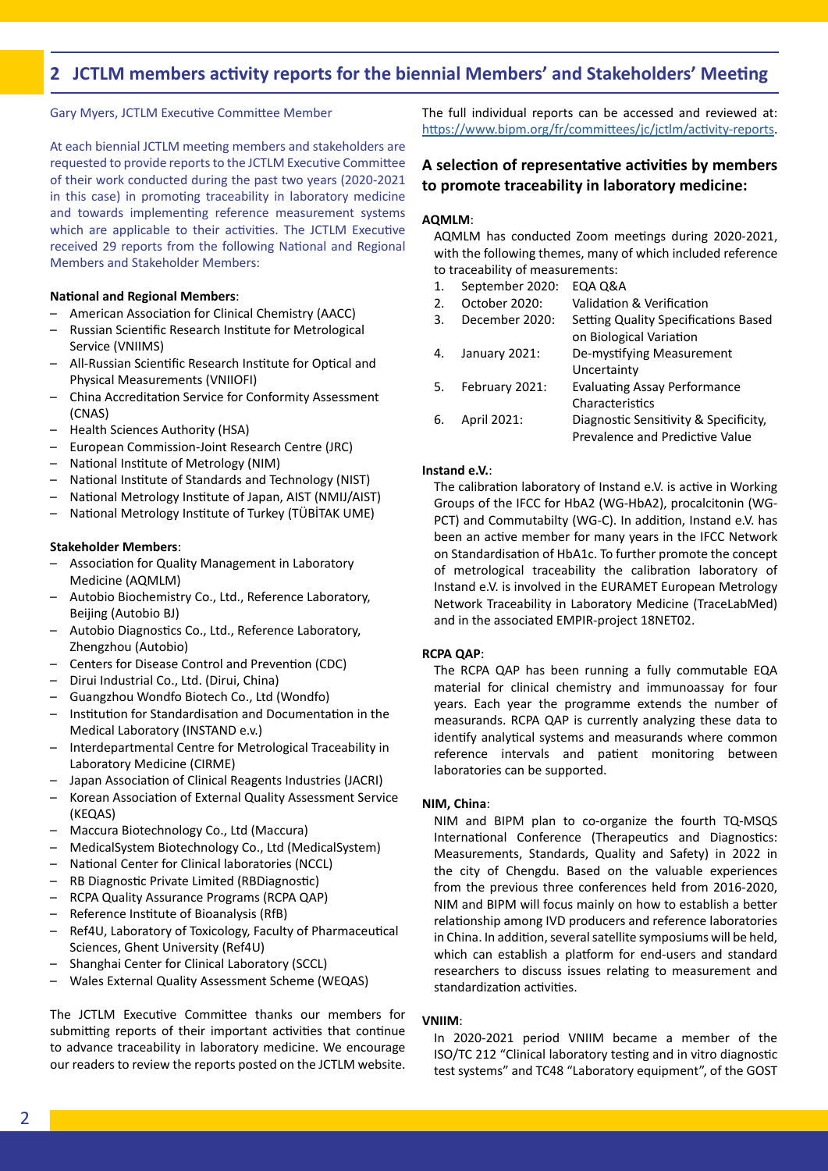## **2 JCTLM members activity reports for the biennial Members' and Stakeholders' Meeting**

Gary Myers, JCTLM Executive Committee Member

At each biennial JCTLM meeting members and stakeholders are requested to provide reports to the JCTLM Executive Committee of their work conducted during the past two years (2020-2021 in this case) in promoting traceability in laboratory medicine and towards implementing reference measurement systems which are applicable to their activities. The JCTLM Executive received 29 reports from the following National and Regional Members and Stakeholder Members:

#### **National and Regional Members**:

- American Association for Clinical Chemistry (AACC)
- Russian Scientific Research Institute for Metrological Service (VNIIMS)
- All-Russian Scientific Research Institute for Optical and Physical Measurements (VNIIOFI)
- China Accreditation Service for Conformity Assessment (CNAS)
- Health Sciences Authority (HSA)
- European Commission-Joint Research Centre (JRC)
- National Institute of Metrology (NIM)
- National Institute of Standards and Technology (NIST)
- National Metrology Institute of Japan, AIST (NMIJ/AIST)
- National Metrology Institute of Turkey (TÜBİTAK UME)

#### **Stakeholder Members**:

- Association for Quality Management in Laboratory Medicine (AQMLM)
- Autobio Biochemistry Co., Ltd., Reference Laboratory, Beijing (Autobio BJ)
- Autobio Diagnostics Co., Ltd., Reference Laboratory, Zhengzhou (Autobio)
- Centers for Disease Control and Prevention (CDC)
- Dirui Industrial Co., Ltd. (Dirui, China)
- Guangzhou Wondfo Biotech Co., Ltd (Wondfo)
- Institution for Standardisation and Documentation in the Medical Laboratory (INSTAND e.v.)
- Interdepartmental Centre for Metrological Traceability in Laboratory Medicine (CIRME)
- Japan Association of Clinical Reagents Industries (JACRI)
- Korean Association of External Quality Assessment Service (KEQAS)
- Maccura Biotechnology Co., Ltd (Maccura)
- MedicalSystem Biotechnology Co., Ltd (MedicalSystem)
- National Center for Clinical laboratories (NCCL)
- RB Diagnostic Private Limited (RBDiagnostic)
- RCPA Quality Assurance Programs (RCPA QAP)
- Reference Institute of Bioanalysis (RfB)
- Ref4U, Laboratory of Toxicology, Faculty of Pharmaceutical Sciences, Ghent University (Ref4U)
- Shanghai Center for Clinical Laboratory (SCCL)
- Wales External Quality Assessment Scheme (WEQAS)

The JCTLM Executive Committee thanks our members for submitting reports of their important activities that continue to advance traceability in laboratory medicine. We encourage our readers to review the reports posted on the JCTLM website. The full individual reports can be accessed and reviewed at: [https://www.bipm.org/fr/committees/jc/jctlm/activity-reports.](https://www.bipm.org/fr/committees/jc/jctlm/activity-reports)

#### **A selection of representative activities by members to promote traceability in laboratory medicine:**

#### **AQMLM**:

AQMLM has conducted Zoom meetings during 2020-2021, with the following themes, many of which included reference to traceability of measurements:

- 1. September 2020: EQA Q&A
- 2. October 2020: Validation & Verification
- 3. December 2020: Setting Quality Specifications Based on Biological Variation
- 4. January 2021: De-mystifying Measurement Uncertainty 5. February 2021: Evaluating Assay Performance
- Characteristics 6. April 2021: Diagnostic Sensitivity & Specificity,
	- Prevalence and Predictive Value

#### **Instand e.V.**:

The calibration laboratory of Instand e.V. is active in Working Groups of the IFCC for HbA2 (WG‐HbA2), procalcitonin (WG‐ PCT) and Commutabilty (WG‐C). In addition, Instand e.V. has been an active member for many years in the IFCC Network on Standardisation of HbA1c. To further promote the concept of metrological traceability the calibration laboratory of Instand e.V. is involved in the EURAMET European Metrology Network Traceability in Laboratory Medicine (TraceLabMed) and in the associated EMPIR-project 18NET02.

#### **RCPA QAP**:

The RCPA QAP has been running a fully commutable EQA material for clinical chemistry and immunoassay for four years. Each year the programme extends the number of measurands. RCPA QAP is currently analyzing these data to identify analytical systems and measurands where common reference intervals and patient monitoring between laboratories can be supported.

#### **NIM, China**:

NIM and BIPM plan to co-organize the fourth TQ-MSQS International Conference (Therapeutics and Diagnostics: Measurements, Standards, Quality and Safety) in 2022 in the city of Chengdu. Based on the valuable experiences from the previous three conferences held from 2016-2020, NIM and BIPM will focus mainly on how to establish a better relationship among IVD producers and reference laboratories in China. In addition, several satellite symposiums will be held, which can establish a platform for end-users and standard researchers to discuss issues relating to measurement and standardization activities.

#### **VNIIM**:

In 2020-2021 period VNIIM became a member of the ISO/TC 212 "Clinical laboratory testing and in vitro diagnostic test systems" and TC48 "Laboratory equipment", of the GOST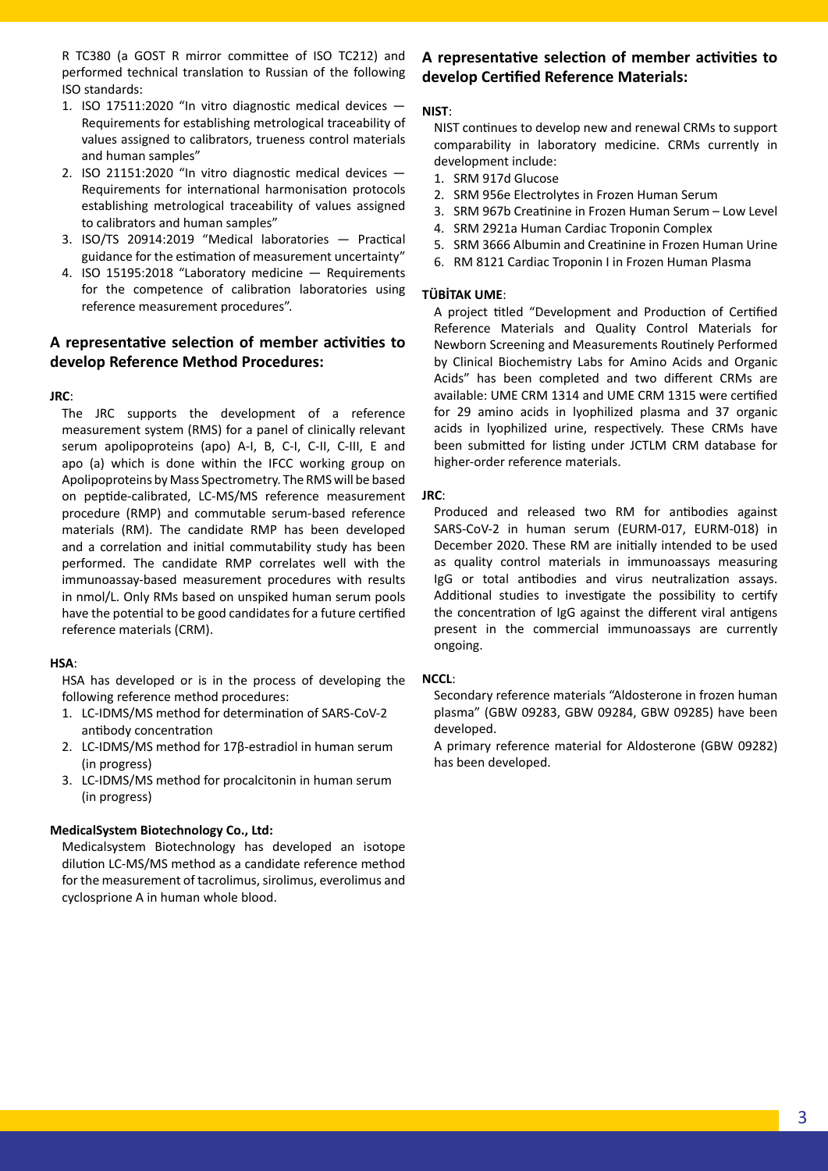R TC380 (a GOST R mirror committee of ISO TC212) and performed technical translation to Russian of the following ISO standards:

- 1. ISO 17511:2020 "In vitro diagnostic medical devices Requirements for establishing metrological traceability of values assigned to calibrators, trueness control materials and human samples"
- 2. ISO 21151:2020 "In vitro diagnostic medical devices Requirements for international harmonisation protocols establishing metrological traceability of values assigned to calibrators and human samples"
- 3. ISO/TS 20914:2019 "Medical laboratories Practical guidance for the estimation of measurement uncertainty"
- 4. ISO 15195:2018 "Laboratory medicine Requirements for the competence of calibration laboratories using reference measurement procedures".

### **A representative selection of member activities to develop Reference Method Procedures:**

#### **JRC**:

The JRC supports the development of a reference measurement system (RMS) for a panel of clinically relevant serum apolipoproteins (apo) A-I, B, C-I, C-II, C-III, E and apo (a) which is done within the IFCC working group on Apolipoproteins by Mass Spectrometry. The RMS will be based on peptide-calibrated, LC-MS/MS reference measurement procedure (RMP) and commutable serum-based reference materials (RM). The candidate RMP has been developed and a correlation and initial commutability study has been performed. The candidate RMP correlates well with the immunoassay-based measurement procedures with results in nmol/L. Only RMs based on unspiked human serum pools have the potential to be good candidates for a future certified reference materials (CRM).

#### **HSA**:

HSA has developed or is in the process of developing the following reference method procedures:

- 1. LC-IDMS/MS method for determination of SARS-CoV-2 antibody concentration
- 2. LC-IDMS/MS method for 17β-estradiol in human serum (in progress)
- 3. LC-IDMS/MS method for procalcitonin in human serum (in progress)

#### **MedicalSystem Biotechnology Co., Ltd:**

Medicalsystem Biotechnology has developed an isotope dilution LC-MS/MS method as a candidate reference method for the measurement of tacrolimus, sirolimus, everolimus and cyclosprione A in human whole blood.

## **A representative selection of member activities to develop Certified Reference Materials:**

#### **NIST**:

NIST continues to develop new and renewal CRMs to support comparability in laboratory medicine. CRMs currently in development include:

- 1. SRM 917d Glucose
- 2. SRM 956e Electrolytes in Frozen Human Serum
- 3. SRM 967b Creatinine in Frozen Human Serum Low Level
- 4. SRM 2921a Human Cardiac Troponin Complex
- 5. SRM 3666 Albumin and Creatinine in Frozen Human Urine
- 6. RM 8121 Cardiac Troponin I in Frozen Human Plasma

#### **TÜBİTAK UME**:

A project titled "Development and Production of Certified Reference Materials and Quality Control Materials for Newborn Screening and Measurements Routinely Performed by Clinical Biochemistry Labs for Amino Acids and Organic Acids" has been completed and two different CRMs are available: UME CRM 1314 and UME CRM 1315 were certified for 29 amino acids in lyophilized plasma and 37 organic acids in lyophilized urine, respectively. These CRMs have been submitted for listing under JCTLM CRM database for higher‑order reference materials.

#### **JRC**:

Produced and released two RM for antibodies against SARS‑CoV-2 in human serum (EURM-017, EURM-018) in December 2020. These RM are initially intended to be used as quality control materials in immunoassays measuring IgG or total antibodies and virus neutralization assays. Additional studies to investigate the possibility to certify the concentration of IgG against the different viral antigens present in the commercial immunoassays are currently ongoing.

#### **NCCL**:

Secondary reference materials "Aldosterone in frozen human plasma" (GBW 09283, GBW 09284, GBW 09285) have been developed.

A primary reference material for Aldosterone (GBW 09282) has been developed.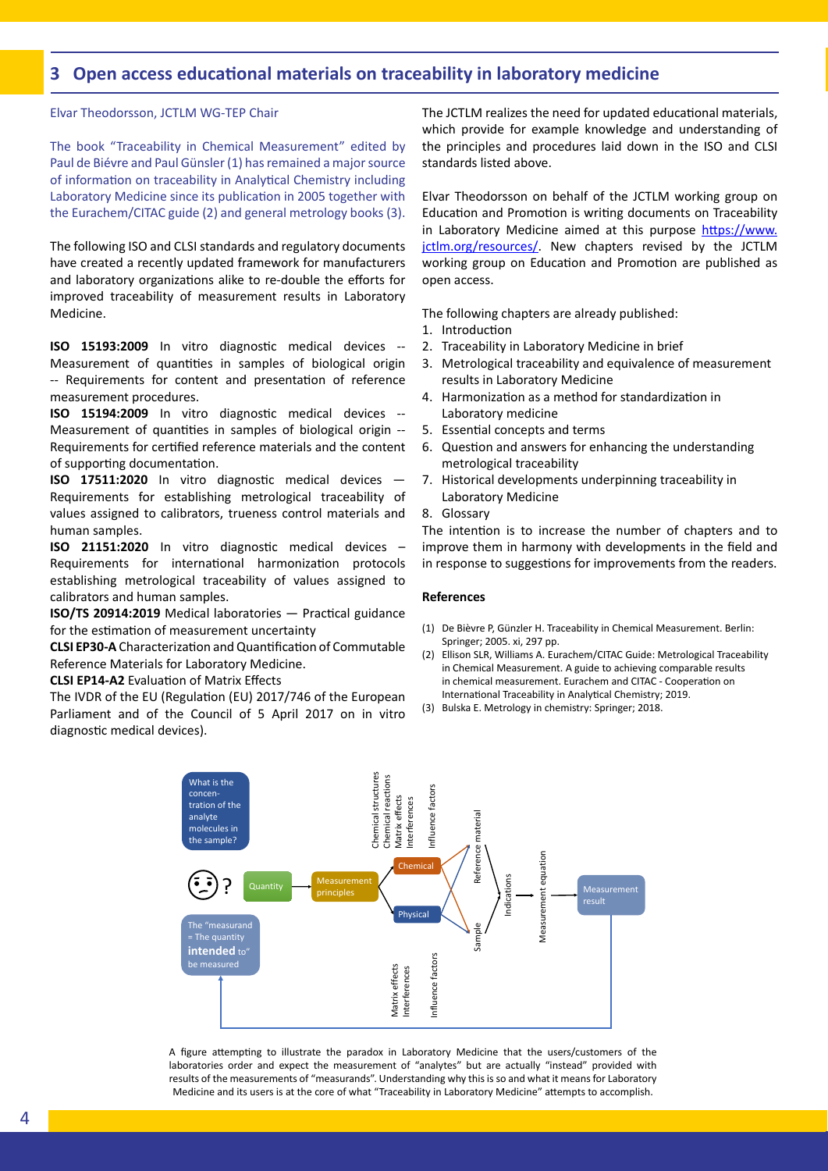## **3 Open access educational materials on traceability in laboratory medicine**

Elvar Theodorsson, JCTLM WG-TEP Chair

The book "Traceability in Chemical Measurement" edited by Paul de Biévre and Paul Günsler (1) has remained a major source of information on traceability in Analytical Chemistry including Laboratory Medicine since its publication in 2005 together with the Eurachem/CITAC guide (2) and general metrology books (3).

The following ISO and CLSI standards and regulatory documents have created a recently updated framework for manufacturers and laboratory organizations alike to re-double the efforts for improved traceability of measurement results in Laboratory Medicine.

**ISO 15193:2009** In vitro diagnostic medical devices -- Measurement of quantities in samples of biological origin -- Requirements for content and presentation of reference measurement procedures.

**ISO 15194:2009** In vitro diagnostic medical devices -- Measurement of quantities in samples of biological origin -- Requirements for certified reference materials and the content of supporting documentation.

**ISO 17511:2020** In vitro diagnostic medical devices — Requirements for establishing metrological traceability of values assigned to calibrators, trueness control materials and human samples.

**ISO 21151:2020** In vitro diagnostic medical devices – Requirements for international harmonization protocols establishing metrological traceability of values assigned to calibrators and human samples.

**ISO/TS 20914:2019** Medical laboratories — Practical guidance for the estimation of measurement uncertainty

**CLSI EP30-A** Characterization and Quantification of Commutable Reference Materials for Laboratory Medicine.

**CLSI EP14-A2** Evaluation of Matrix Effects

The IVDR of the EU (Regulation (EU) 2017/746 of the European Parliament and of the Council of 5 April 2017 on in vitro diagnostic medical devices).

The JCTLM realizes the need for updated educational materials, which provide for example knowledge and understanding of the principles and procedures laid down in the ISO and CLSI standards listed above.

Elvar Theodorsson on behalf of the JCTLM working group on Education and Promotion is writing documents on Traceability in Laboratory Medicine aimed at this purpose https://www. jctlm.org/resources/. New chapters revised by the JCTLM working group on Education and Promotion are published as open access.

The following chapters are already published:

- 1. Introduction
- 2. Traceability in Laboratory Medicine in brief
- 3. Metrological traceability and equivalence of measurement results in Laboratory Medicine
- 4. Harmonization as a method for standardization in Laboratory medicine
- 5. Essential concepts and terms
- 6. Question and answers for enhancing the understanding metrological traceability
- 7. Historical developments underpinning traceability in Laboratory Medicine

8. Glossary

The intention is to increase the number of chapters and to improve them in harmony with developments in the field and in response to suggestions for improvements from the readers.

#### **References**

- (1) De Bièvre P, Günzler H. Traceability in Chemical Measurement. Berlin: Springer; 2005. xi, 297 pp.
- (2) Ellison SLR, Williams A. Eurachem/CITAC Guide: Metrological Traceability in Chemical Measurement. A guide to achieving comparable results in chemical measurement. Eurachem and CITAC - Cooperation on International Traceability in Analytical Chemistry; 2019.
- (3) Bulska E. Metrology in chemistry: Springer; 2018.



A figure attempting to illustrate the paradox in Laboratory Medicine that the users/customers of the laboratories order and expect the measurement of "analytes" but are actually "instead" provided with results of the measurements of "measurands". Understanding why this is so and what it means for Laboratory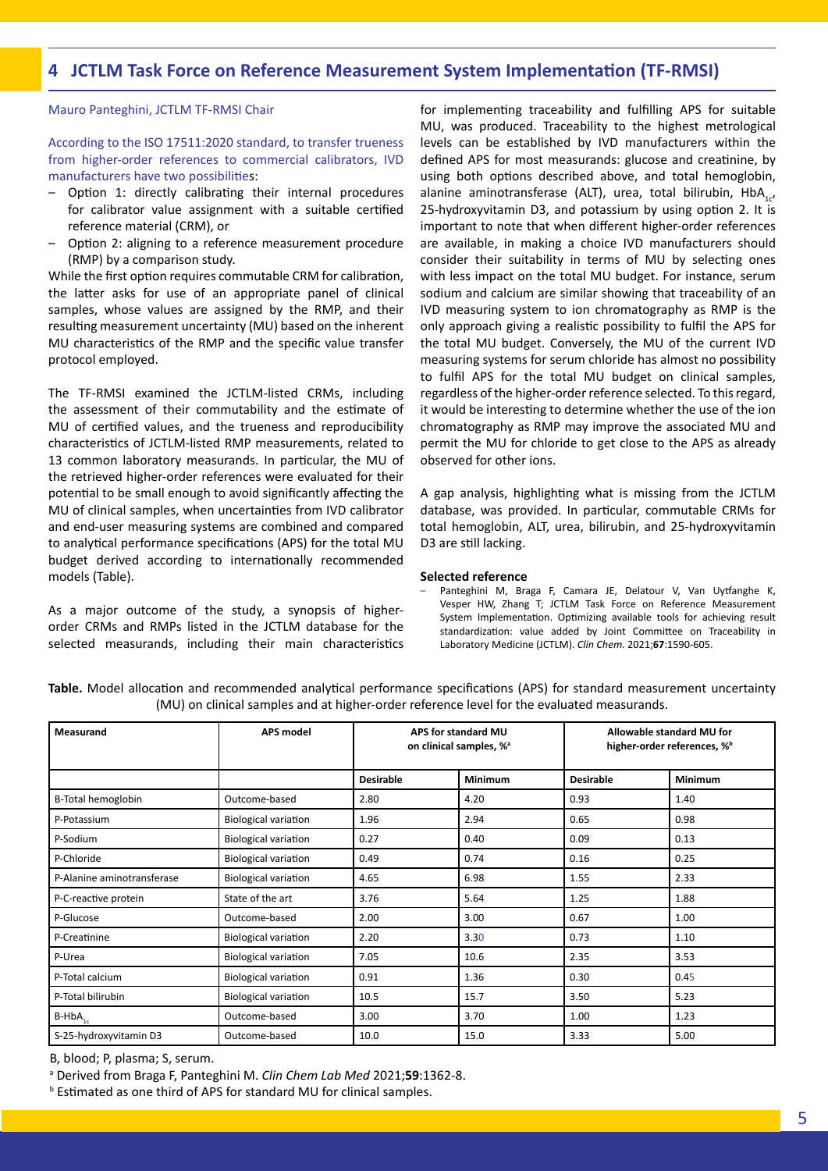## **4 JCTLM Task Force on Reference Measurement System Implementation (TF-RMSI)**

#### Mauro Panteghini, JCTLM TF-RMSI Chair

According to the ISO 17511:2020 standard, to transfer trueness from higher-order references to commercial calibrators, IVD manufacturers have two possibilities:

- Option 1: directly calibrating their internal procedures for calibrator value assignment with a suitable certified reference material (CRM), or
- Option 2: aligning to a reference measurement procedure (RMP) by a comparison study.

While the first option requires commutable CRM for calibration, the latter asks for use of an appropriate panel of clinical samples, whose values are assigned by the RMP, and their resulting measurement uncertainty (MU) based on the inherent MU characteristics of the RMP and the specific value transfer protocol employed.

The TF-RMSI examined the JCTLM-listed CRMs, including the assessment of their commutability and the estimate of MU of certified values, and the trueness and reproducibility characteristics of JCTLM-listed RMP measurements, related to 13 common laboratory measurands. In particular, the MU of the retrieved higher-order references were evaluated for their potential to be small enough to avoid significantly affecting the MU of clinical samples, when uncertainties from IVD calibrator and end-user measuring systems are combined and compared to analytical performance specifications (APS) for the total MU budget derived according to internationally recommended models (Table).

As a major outcome of the study, a synopsis of higherorder CRMs and RMPs listed in the JCTLM database for the selected measurands, including their main characteristics for implementing traceability and fulfilling APS for suitable MU, was produced. Traceability to the highest metrological levels can be established by IVD manufacturers within the defined APS for most measurands: glucose and creatinine, by using both options described above, and total hemoglobin, alanine aminotransferase (ALT), urea, total bilirubin,  $HbA_{1}$ , 25-hydroxyvitamin D3, and potassium by using option 2. It is important to note that when different higher-order references are available, in making a choice IVD manufacturers should consider their suitability in terms of MU by selecting ones with less impact on the total MU budget. For instance, serum sodium and calcium are similar showing that traceability of an IVD measuring system to ion chromatography as RMP is the only approach giving a realistic possibility to fulfil the APS for the total MU budget. Conversely, the MU of the current IVD measuring systems for serum chloride has almost no possibility to fulfil APS for the total MU budget on clinical samples, regardless of the higher-order reference selected. To this regard, it would be interesting to determine whether the use of the ion chromatography as RMP may improve the associated MU and permit the MU for chloride to get close to the APS as already observed for other ions.

A gap analysis, highlighting what is missing from the JCTLM database, was provided. In particular, commutable CRMs for total hemoglobin, ALT, urea, bilirubin, and 25-hydroxyvitamin D3 are still lacking.

#### **Selected reference**

– Panteghini M, Braga F, Camara JE, Delatour V, Van Uytfanghe K, Vesper HW, Zhang T; JCTLM Task Force on Reference Measurement System Implementation. Optimizing available tools for achieving result standardization: value added by Joint Committee on Traceability in Laboratory Medicine (JCTLM). *Clin Chem.* 2021;**67**:1590-605.

| Measurand                  | <b>APS model</b>            | APS for standard MU<br>on clinical samples, % <sup>a</sup> |                | Allowable standard MU for<br>higher-order references, % <sup>b</sup> |                |
|----------------------------|-----------------------------|------------------------------------------------------------|----------------|----------------------------------------------------------------------|----------------|
|                            |                             | <b>Desirable</b>                                           | <b>Minimum</b> | <b>Desirable</b>                                                     | <b>Minimum</b> |
| B-Total hemoglobin         | Outcome-based               | 2.80                                                       | 4.20           | 0.93                                                                 | 1.40           |
| P-Potassium                | <b>Biological variation</b> | 1.96                                                       | 2.94           | 0.65                                                                 | 0.98           |
| P-Sodium                   | <b>Biological variation</b> | 0.27                                                       | 0.40           | 0.09                                                                 | 0.13           |
| P-Chloride                 | <b>Biological variation</b> | 0.49                                                       | 0.74           | 0.16                                                                 | 0.25           |
| P-Alanine aminotransferase | <b>Biological variation</b> | 4.65                                                       | 6.98           | 1.55                                                                 | 2.33           |
| P-C-reactive protein       | State of the art            | 3.76                                                       | 5.64           | 1.25                                                                 | 1.88           |
| P-Glucose                  | Outcome-based               | 2.00                                                       | 3.00           | 0.67                                                                 | 1.00           |
| P-Creatinine               | <b>Biological variation</b> | 2.20                                                       | 3.30           | 0.73                                                                 | 1.10           |
| P-Urea                     | <b>Biological variation</b> | 7.05                                                       | 10.6           | 2.35                                                                 | 3.53           |
| P-Total calcium            | <b>Biological variation</b> | 0.91                                                       | 1.36           | 0.30                                                                 | 0.45           |
| P-Total bilirubin          | <b>Biological variation</b> | 10.5                                                       | 15.7           | 3.50                                                                 | 5.23           |
| $B$ -HbA $_{1c}$           | Outcome-based               | 3.00                                                       | 3.70           | 1.00                                                                 | 1.23           |
| S-25-hydroxyvitamin D3     | Outcome-based               | 10.0                                                       | 15.0           | 3.33                                                                 | 5.00           |

**Table.** Model allocation and recommended analytical performance specifications (APS) for standard measurement uncertainty (MU) on clinical samples and at higher-order reference level for the evaluated measurands.

B, blood; P, plasma; S, serum.

a Derived from Braga F, Panteghini M. *Clin Chem Lab Med* 2021;**59**:1362-8.

b Estimated as one third of APS for standard MU for clinical samples.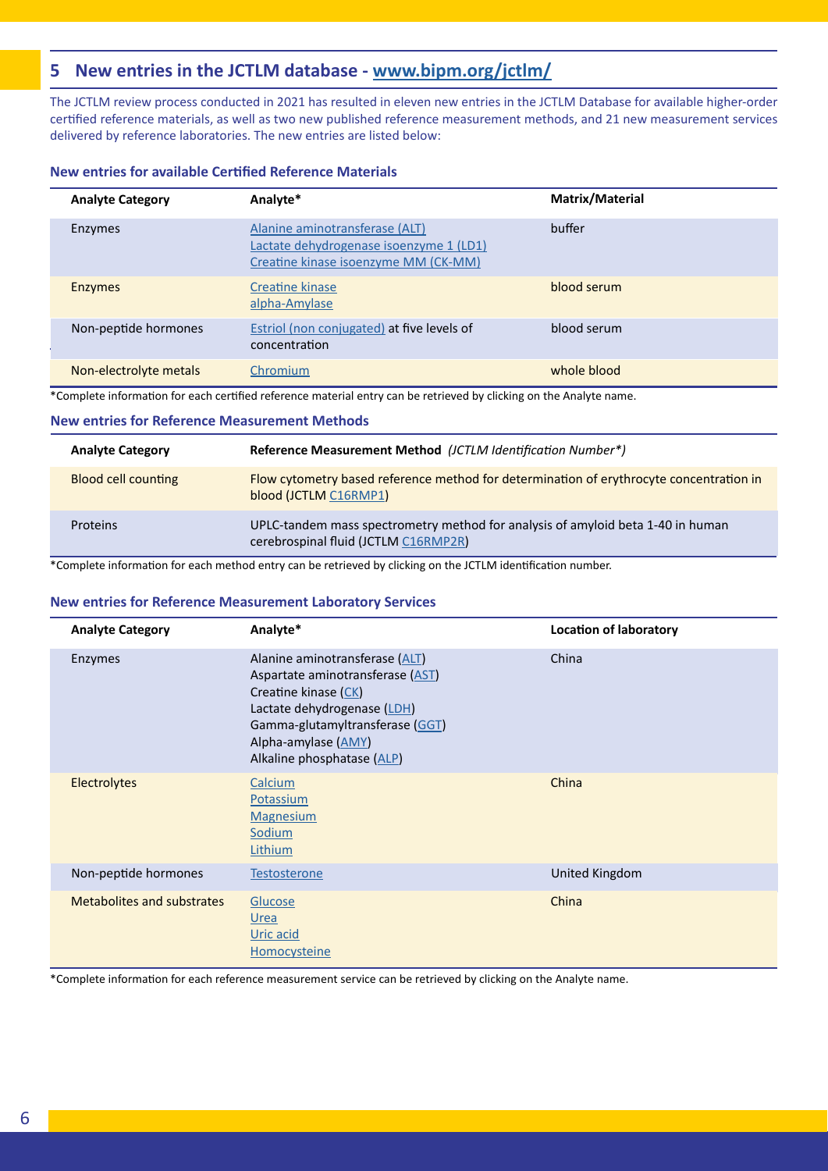## **5 New entries in the JCTLM database - [www.bipm.org/jctlm/](https://www.bipm.org/jctlm/)**

The JCTLM review process conducted in 2021 has resulted in eleven new entries in the JCTLM Database for available higher-order certified reference materials, as well as two new published reference measurement methods, and 21 new measurement services delivered by reference laboratories. The new entries are listed below:

#### **New entries for available Certified Reference Materials**

| <b>Analyte Category</b> | Analyte*                                                                                                          | Matrix/Material |
|-------------------------|-------------------------------------------------------------------------------------------------------------------|-----------------|
| <b>Enzymes</b>          | Alanine aminotransferase (ALT)<br>Lactate dehydrogenase isoenzyme 1 (LD1)<br>Creatine kinase isoenzyme MM (CK-MM) | buffer          |
| <b>Enzymes</b>          | Creatine kinase<br>alpha-Amylase                                                                                  | blood serum     |
| Non-peptide hormones    | <b>Estriol</b> (non conjugated) at five levels of<br>concentration                                                | blood serum     |
| Non-electrolyte metals  | Chromium                                                                                                          | whole blood     |

\*Complete information for each certified reference material entry can be retrieved by clicking on the Analyte name.

#### **New entries for Reference Measurement Methods**

| <b>Analyte Category</b>    | Reference Measurement Method (JCTLM Identification Number*)                                                             |
|----------------------------|-------------------------------------------------------------------------------------------------------------------------|
| <b>Blood cell counting</b> | Flow cytometry based reference method for determination of erythrocyte concentration in<br>blood (JCTLM C16RMP1)        |
| Proteins                   | UPLC-tandem mass spectrometry method for analysis of amyloid beta 1-40 in human<br>cerebrospinal fluid (JCTLM C16RMP2R) |

\*Complete information for each method entry can be retrieved by clicking on the JCTLM identification number.

#### **New entries for Reference Measurement Laboratory Services**

| <b>Analyte Category</b>    | Analyte*                                                                                                                                                                                                          | <b>Location of laboratory</b> |
|----------------------------|-------------------------------------------------------------------------------------------------------------------------------------------------------------------------------------------------------------------|-------------------------------|
| Enzymes                    | Alanine aminotransferase (ALT)<br>Aspartate aminotransferase (AST)<br>Creatine kinase (CK)<br>Lactate dehydrogenase (LDH)<br>Gamma-glutamyltransferase (GGT)<br>Alpha-amylase (AMY)<br>Alkaline phosphatase (ALP) | China                         |
| <b>Electrolytes</b>        | Calcium<br>Potassium<br><b>Magnesium</b><br>Sodium<br>Lithium                                                                                                                                                     | China                         |
| Non-peptide hormones       | <b>Testosterone</b>                                                                                                                                                                                               | United Kingdom                |
| Metabolites and substrates | Glucose<br>Urea<br>Uric acid<br>Homocysteine                                                                                                                                                                      | China                         |

\*Complete information for each reference measurement service can be retrieved by clicking on the Analyte name.